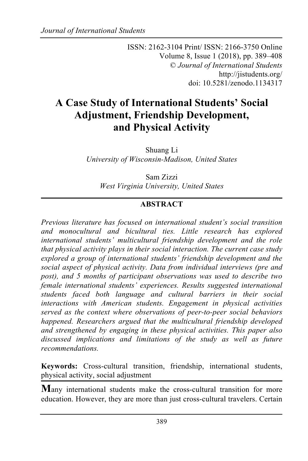ISSN: 2162-3104 Print/ ISSN: 2166-3750 Online Volume 8, Issue 1 (2018), pp. 389–408 © *Journal of International Students* http://jistudents.org/ doi: 10.5281/zenodo.1134317

# **A Case Study of International Students' Social Adjustment, Friendship Development, and Physical Activity**

Shuang Li *University of Wisconsin-Madison, United States*

Sam Zizzi *West Virginia University, United States*

### **ABSTRACT**

*Previous literature has focused on international student's social transition and monocultural and bicultural ties. Little research has explored international students' multicultural friendship development and the role that physical activity plays in their social interaction. The current case study explored a group of international students' friendship development and the social aspect of physical activity. Data from individual interviews (pre and post), and 5 months of participant observations was used to describe two female international students' experiences. Results suggested international students faced both language and cultural barriers in their social interactions with American students. Engagement in physical activities served as the context where observations of peer-to-peer social behaviors happened. Researchers argued that the multicultural friendship developed and strengthened by engaging in these physical activities. This paper also discussed implications and limitations of the study as well as future recommendations.*

**Keywords:** Cross-cultural transition, friendship, international students, physical activity, social adjustment

**M**any international students make the cross-cultural transition for more education. However, they are more than just cross-cultural travelers. Certain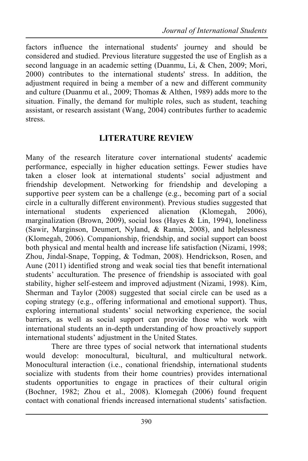factors influence the international students' journey and should be considered and studied. Previous literature suggested the use of English as a second language in an academic setting (Duanmu, Li, & Chen, 2009; Mori, 2000) contributes to the international students' stress. In addition, the adjustment required in being a member of a new and different community and culture (Duanmu et al., 2009; Thomas & Althen, 1989) adds more to the situation. Finally, the demand for multiple roles, such as student, teaching assistant, or research assistant (Wang, 2004) contributes further to academic stress.

# **LITERATURE REVIEW**

Many of the research literature cover international students' academic performance, especially in higher education settings. Fewer studies have taken a closer look at international students' social adjustment and friendship development. Networking for friendship and developing a supportive peer system can be a challenge (e.g., becoming part of a social circle in a culturally different environment). Previous studies suggested that international students experienced alienation (Klomegah, 2006), marginalization (Brown, 2009), social loss (Hayes & Lin, 1994), loneliness (Sawir, Marginson, Deumert, Nyland, & Ramia, 2008), and helplessness (Klomegah, 2006). Companionship, friendship, and social support can boost both physical and mental health and increase life satisfaction (Nizami, 1998; Zhou, Jindal-Snape, Topping, & Todman, 2008). Hendrickson, Rosen, and Aune (2011) identified strong and weak social ties that benefit international students' acculturation. The presence of friendship is associated with goal stability, higher self-esteem and improved adjustment (Nizami, 1998). Kim, Sherman and Taylor (2008) suggested that social circle can be used as a coping strategy (e.g., offering informational and emotional support). Thus, exploring international students' social networking experience, the social barriers, as well as social support can provide those who work with international students an in-depth understanding of how proactively support international students' adjustment in the United States.

There are three types of social network that international students would develop: monocultural, bicultural, and multicultural network. Monocultural interaction (i.e., conational friendship, international students socialize with students from their home countries) provides international students opportunities to engage in practices of their cultural origin (Bochner, 1982; Zhou et al., 2008). Klomegah (2006) found frequent contact with conational friends increased international students' satisfaction.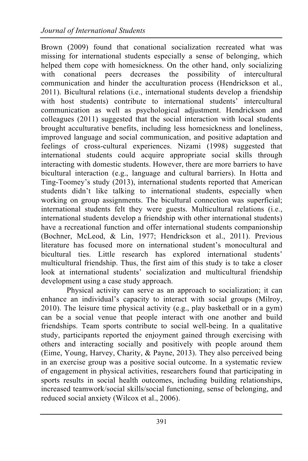Brown (2009) found that conational socialization recreated what was missing for international students especially a sense of belonging, which helped them cope with homesickness. On the other hand, only socializing with conational peers decreases the possibility of intercultural communication and hinder the acculturation process (Hendrickson et al., 2011). Bicultural relations (i.e., international students develop a friendship with host students) contribute to international students' intercultural communication as well as psychological adjustment. Hendrickson and colleagues (2011) suggested that the social interaction with local students brought acculturative benefits, including less homesickness and loneliness, improved language and social communication, and positive adaptation and feelings of cross-cultural experiences. Nizami (1998) suggested that international students could acquire appropriate social skills through interacting with domestic students. However, there are more barriers to have bicultural interaction (e.g., language and cultural barriers). In Hotta and Ting-Toomey's study (2013), international students reported that American students didn't like talking to international students, especially when working on group assignments. The bicultural connection was superficial; international students felt they were guests. Multicultural relations (i.e., international students develop a friendship with other international students) have a recreational function and offer international students companionship (Bochner, McLeod, & Lin, 1977; Hendrickson et al., 2011). Previous literature has focused more on international student's monocultural and bicultural ties. Little research has explored international students' multicultural friendship. Thus, the first aim of this study is to take a closer look at international students' socialization and multicultural friendship development using a case study approach.

Physical activity can serve as an approach to socialization; it can enhance an individual's capacity to interact with social groups (Milroy, 2010). The leisure time physical activity (e.g., play basketball or in a gym) can be a social venue that people interact with one another and build friendships. Team sports contribute to social well-being. In a qualitative study, participants reported the enjoyment gained through exercising with others and interacting socially and positively with people around them (Eime, Young, Harvey, Charity, & Payne, 2013). They also perceived being in an exercise group was a positive social outcome. In a systematic review of engagement in physical activities, researchers found that participating in sports results in social health outcomes, including building relationships, increased teamwork/social skills/social functioning, sense of belonging, and reduced social anxiety (Wilcox et al., 2006).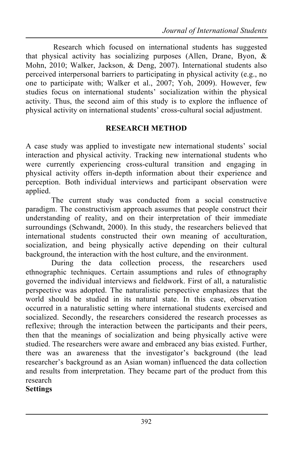Research which focused on international students has suggested that physical activity has socializing purposes (Allen, Drane, Byon, & Mohn, 2010; Walker, Jackson, & Deng, 2007). International students also perceived interpersonal barriers to participating in physical activity (e.g., no one to participate with; Walker et al., 2007; Yoh, 2009). However, few studies focus on international students' socialization within the physical activity. Thus, the second aim of this study is to explore the influence of physical activity on international students' cross-cultural social adjustment.

#### **RESEARCH METHOD**

A case study was applied to investigate new international students' social interaction and physical activity. Tracking new international students who were currently experiencing cross-cultural transition and engaging in physical activity offers in-depth information about their experience and perception. Both individual interviews and participant observation were applied.

The current study was conducted from a social constructive paradigm. The constructivism approach assumes that people construct their understanding of reality, and on their interpretation of their immediate surroundings (Schwandt, 2000). In this study, the researchers believed that international students constructed their own meaning of acculturation, socialization, and being physically active depending on their cultural background, the interaction with the host culture, and the environment.

During the data collection process, the researchers used ethnographic techniques. Certain assumptions and rules of ethnography governed the individual interviews and fieldwork. First of all, a naturalistic perspective was adopted. The naturalistic perspective emphasizes that the world should be studied in its natural state. In this case, observation occurred in a naturalistic setting where international students exercised and socialized. Secondly, the researchers considered the research processes as reflexive; through the interaction between the participants and their peers, then that the meanings of socialization and being physically active were studied. The researchers were aware and embraced any bias existed. Further, there was an awareness that the investigator's background (the lead researcher's background as an Asian woman) influenced the data collection and results from interpretation. They became part of the product from this research

#### **Settings**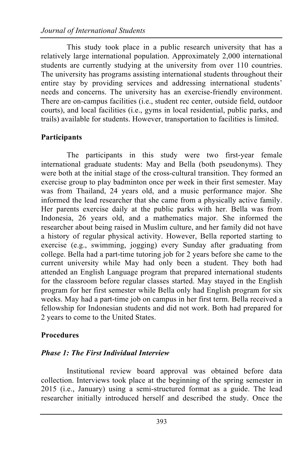This study took place in a public research university that has a relatively large international population. Approximately 2,000 international students are currently studying at the university from over 110 countries. The university has programs assisting international students throughout their entire stay by providing services and addressing international students' needs and concerns. The university has an exercise-friendly environment. There are on-campus facilities (i.e., student rec center, outside field, outdoor courts), and local facilities (i.e., gyms in local residential, public parks, and trails) available for students. However, transportation to facilities is limited.

#### **Participants**

The participants in this study were two first-year female international graduate students: May and Bella (both pseudonyms). They were both at the initial stage of the cross-cultural transition. They formed an exercise group to play badminton once per week in their first semester. May was from Thailand, 24 years old, and a music performance major. She informed the lead researcher that she came from a physically active family. Her parents exercise daily at the public parks with her. Bella was from Indonesia, 26 years old, and a mathematics major. She informed the researcher about being raised in Muslim culture, and her family did not have a history of regular physical activity. However, Bella reported starting to exercise (e.g., swimming, jogging) every Sunday after graduating from college. Bella had a part-time tutoring job for 2 years before she came to the current university while May had only been a student. They both had attended an English Language program that prepared international students for the classroom before regular classes started. May stayed in the English program for her first semester while Bella only had English program for six weeks. May had a part-time job on campus in her first term. Bella received a fellowship for Indonesian students and did not work. Both had prepared for 2 years to come to the United States.

#### **Procedures**

#### *Phase 1: The First Individual Interview*

Institutional review board approval was obtained before data collection. Interviews took place at the beginning of the spring semester in 2015 (i.e., January) using a semi-structured format as a guide. The lead researcher initially introduced herself and described the study. Once the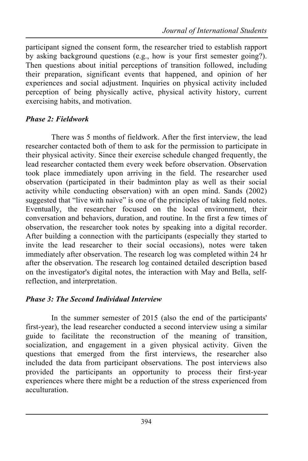participant signed the consent form, the researcher tried to establish rapport by asking background questions (e.g., how is your first semester going?). Then questions about initial perceptions of transition followed, including their preparation, significant events that happened, and opinion of her experiences and social adjustment. Inquiries on physical activity included perception of being physically active, physical activity history, current exercising habits, and motivation.

# *Phase 2: Fieldwork*

There was 5 months of fieldwork. After the first interview, the lead researcher contacted both of them to ask for the permission to participate in their physical activity. Since their exercise schedule changed frequently, the lead researcher contacted them every week before observation. Observation took place immediately upon arriving in the field. The researcher used observation (participated in their badminton play as well as their social activity while conducting observation) with an open mind. Sands (2002) suggested that "live with naive" is one of the principles of taking field notes. Eventually, the researcher focused on the local environment, their conversation and behaviors, duration, and routine. In the first a few times of observation, the researcher took notes by speaking into a digital recorder. After building a connection with the participants (especially they started to invite the lead researcher to their social occasions), notes were taken immediately after observation. The research log was completed within 24 hr after the observation. The research log contained detailed description based on the investigator's digital notes, the interaction with May and Bella, selfreflection, and interpretation.

### *Phase 3: The Second Individual Interview*

In the summer semester of 2015 (also the end of the participants' first-year), the lead researcher conducted a second interview using a similar guide to facilitate the reconstruction of the meaning of transition, socialization, and engagement in a given physical activity. Given the questions that emerged from the first interviews, the researcher also included the data from participant observations. The post interviews also provided the participants an opportunity to process their first-year experiences where there might be a reduction of the stress experienced from acculturation.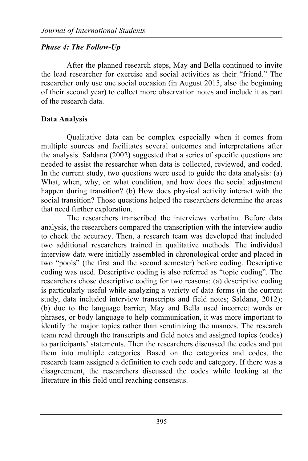# *Phase 4: The Follow-Up*

After the planned research steps, May and Bella continued to invite the lead researcher for exercise and social activities as their "friend." The researcher only use one social occasion (in August 2015, also the beginning of their second year) to collect more observation notes and include it as part of the research data.

# **Data Analysis**

Qualitative data can be complex especially when it comes from multiple sources and facilitates several outcomes and interpretations after the analysis. Saldana (2002) suggested that a series of specific questions are needed to assist the researcher when data is collected, reviewed, and coded. In the current study, two questions were used to guide the data analysis: (a) What, when, why, on what condition, and how does the social adjustment happen during transition? (b) How does physical activity interact with the social transition? Those questions helped the researchers determine the areas that need further exploration.

The researchers transcribed the interviews verbatim. Before data analysis, the researchers compared the transcription with the interview audio to check the accuracy. Then, a research team was developed that included two additional researchers trained in qualitative methods. The individual interview data were initially assembled in chronological order and placed in two "pools" (the first and the second semester) before coding. Descriptive coding was used. Descriptive coding is also referred as "topic coding". The researchers chose descriptive coding for two reasons: (a) descriptive coding is particularly useful while analyzing a variety of data forms (in the current study, data included interview transcripts and field notes; Saldana, 2012); (b) due to the language barrier, May and Bella used incorrect words or phrases, or body language to help communication, it was more important to identify the major topics rather than scrutinizing the nuances. The research team read through the transcripts and field notes and assigned topics (codes) to participants' statements. Then the researchers discussed the codes and put them into multiple categories. Based on the categories and codes, the research team assigned a definition to each code and category. If there was a disagreement, the researchers discussed the codes while looking at the literature in this field until reaching consensus.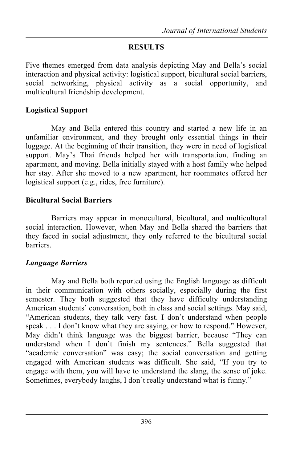## **RESULTS**

Five themes emerged from data analysis depicting May and Bella's social interaction and physical activity: logistical support, bicultural social barriers, social networking, physical activity as a social opportunity, and multicultural friendship development.

### **Logistical Support**

May and Bella entered this country and started a new life in an unfamiliar environment, and they brought only essential things in their luggage. At the beginning of their transition, they were in need of logistical support. May's Thai friends helped her with transportation, finding an apartment, and moving. Bella initially stayed with a host family who helped her stay. After she moved to a new apartment, her roommates offered her logistical support (e.g., rides, free furniture).

### **Bicultural Social Barriers**

Barriers may appear in monocultural, bicultural, and multicultural social interaction. However, when May and Bella shared the barriers that they faced in social adjustment, they only referred to the bicultural social barriers.

# *Language Barriers*

May and Bella both reported using the English language as difficult in their communication with others socially, especially during the first semester. They both suggested that they have difficulty understanding American students' conversation, both in class and social settings. May said, "American students, they talk very fast. I don't understand when people speak . . . I don't know what they are saying, or how to respond." However, May didn't think language was the biggest barrier, because "They can understand when I don't finish my sentences." Bella suggested that "academic conversation" was easy; the social conversation and getting engaged with American students was difficult. She said, "If you try to engage with them, you will have to understand the slang, the sense of joke. Sometimes, everybody laughs, I don't really understand what is funny."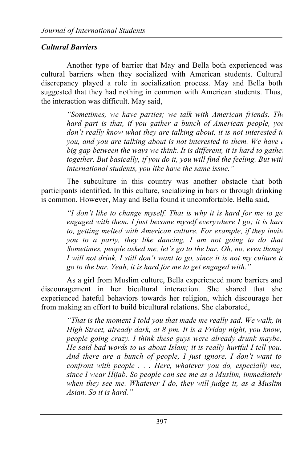# *Cultural Barriers*

Another type of barrier that May and Bella both experienced was cultural barriers when they socialized with American students. Cultural discrepancy played a role in socialization process. May and Bella both suggested that they had nothing in common with American students. Thus, the interaction was difficult. May said,

> *"Sometimes, we have parties; we talk with American friends. The hard part is that, if you gather a bunch of American people, you don't really know what they are talking about, it is not interested to you, and you are talking about is not interested to them. We have a big gap between the ways we think. It is different, it is hard to gather together. But basically, if you do it, you will find the feeling. But with international students, you like have the same issue."*

The subculture in this country was another obstacle that both participants identified. In this culture, socializing in bars or through drinking is common. However, May and Bella found it uncomfortable. Bella said,

> *"I don't like to change myself. That is why it is hard for me to ge engaged with them. I just become myself everywhere I go; it is hard to, getting melted with American culture. For example, if they invite you to a party, they like dancing, I am not going to do that. Sometimes, people asked me, let's go to the bar. Oh, no, even though I* will not drink, *I still don't want to go, since it is not my culture to go to the bar. Yeah, it is hard for me to get engaged with."*

As a girl from Muslim culture, Bella experienced more barriers and discouragement in her bicultural interaction. She shared that she experienced hateful behaviors towards her religion, which discourage her from making an effort to build bicultural relations. She elaborated,

> *"That is the moment I told you that made me really sad. We walk, in High Street, already dark, at 8 pm. It is a Friday night, you know, people going crazy. I think these guys were already drunk maybe. He said bad words to us about Islam; it is really hurtful I tell you. And there are a bunch of people, I just ignore. I don't want to confront with people . . . Here, whatever you do, especially me, since I wear Hijab. So people can see me as a Muslim, immediately when they see me. Whatever I do, they will judge it, as a Muslim Asian. So it is hard."*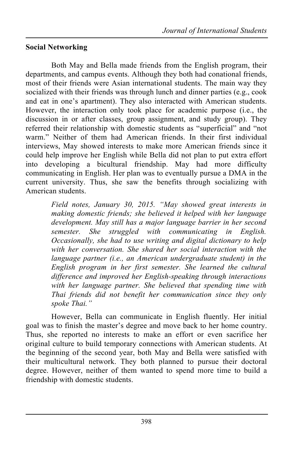# **Social Networking**

Both May and Bella made friends from the English program, their departments, and campus events. Although they both had conational friends, most of their friends were Asian international students. The main way they socialized with their friends was through lunch and dinner parties (e.g., cook and eat in one's apartment). They also interacted with American students. However, the interaction only took place for academic purpose (i.e., the discussion in or after classes, group assignment, and study group). They referred their relationship with domestic students as "superficial" and "not warm." Neither of them had American friends. In their first individual interviews, May showed interests to make more American friends since it could help improve her English while Bella did not plan to put extra effort into developing a bicultural friendship. May had more difficulty communicating in English. Her plan was to eventually pursue a DMA in the current university. Thus, she saw the benefits through socializing with American students.

> *Field notes, January 30, 2015. "May showed great interests in making domestic friends; she believed it helped with her language development. May still has a major language barrier in her second semester. She struggled with communicating in English. Occasionally, she had to use writing and digital dictionary to help with her conversation. She shared her social interaction with the language partner (i.e., an American undergraduate student) in the English program in her first semester. She learned the cultural difference and improved her English-speaking through interactions with her language partner. She believed that spending time with Thai friends did not benefit her communication since they only spoke Thai."*

However, Bella can communicate in English fluently. Her initial goal was to finish the master's degree and move back to her home country. Thus, she reported no interests to make an effort or even sacrifice her original culture to build temporary connections with American students. At the beginning of the second year, both May and Bella were satisfied with their multicultural network. They both planned to pursue their doctoral degree. However, neither of them wanted to spend more time to build a friendship with domestic students.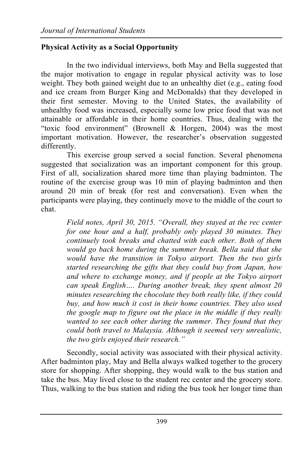# **Physical Activity as a Social Opportunity**

In the two individual interviews, both May and Bella suggested that the major motivation to engage in regular physical activity was to lose weight. They both gained weight due to an unhealthy diet (e.g., eating food and ice cream from Burger King and McDonalds) that they developed in their first semester. Moving to the United States, the availability of unhealthy food was increased, especially some low price food that was not attainable or affordable in their home countries. Thus, dealing with the "toxic food environment" (Brownell & Horgen, 2004) was the most important motivation. However, the researcher's observation suggested differently.

This exercise group served a social function. Several phenomena suggested that socialization was an important component for this group. First of all, socialization shared more time than playing badminton. The routine of the exercise group was 10 min of playing badminton and then around 20 min of break (for rest and conversation). Even when the participants were playing, they continuely move to the middle of the court to chat.

*Field notes, April 30, 2015. "Overall, they stayed at the rec center for one hour and a half, probably only played 30 minutes. They continuely took breaks and chatted with each other. Both of them would go back home during the summer break. Bella said that she would have the transition in Tokyo airport. Then the two girls started researching the gifts that they could buy from Japan, how and where to exchange money, and if people at the Tokyo airport can speak English…. During another break, they spent almost 20 minutes researching the chocolate they both really like, if they could buy, and how much it cost in their home countries. They also used the google map to figure out the place in the middle if they really wanted to see each other during the summer. They found that they could both travel to Malaysia. Although it seemed very unrealistic, the two girls enjoyed their research."*

Secondly, social activity was associated with their physical activity. After badminton play, May and Bella always walked together to the grocery store for shopping. After shopping, they would walk to the bus station and take the bus. May lived close to the student rec center and the grocery store. Thus, walking to the bus station and riding the bus took her longer time than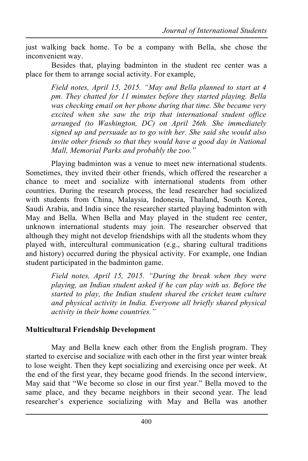just walking back home. To be a company with Bella, she chose the inconvenient way.

Besides that, playing badminton in the student rec center was a place for them to arrange social activity. For example,

> *Field notes, April 15, 2015. "May and Bella planned to start at 4 pm. They chatted for 11 minutes before they started playing. Bella was checking email on her phone during that time. She became very excited when she saw the trip that international student office arranged (to Washington, DC) on April 26th. She immediately signed up and persuade us to go with her. She said she would also invite other friends so that they would have a good day in National Mall, Memorial Parks and probably the zoo."*

Playing badminton was a venue to meet new international students. Sometimes, they invited their other friends, which offered the researcher a chance to meet and socialize with international students from other countries. During the research process, the lead researcher had socialized with students from China, Malaysia, Indonesia, Thailand, South Korea, Saudi Arabia, and India since the researcher started playing badminton with May and Bella. When Bella and May played in the student rec center, unknown international students may join. The researcher observed that although they might not develop friendships with all the students whom they played with, intercultural communication (e.g., sharing cultural traditions and history) occurred during the physical activity. For example, one Indian student participated in the badminton game.

> *Field notes, April 15, 2015. "During the break when they were playing, an Indian student asked if he can play with us. Before the started to play, the Indian student shared the cricket team culture and physical activity in India. Everyone all briefly shared physical activity in their home countries."*

### **Multicultural Friendship Development**

May and Bella knew each other from the English program. They started to exercise and socialize with each other in the first year winter break to lose weight. Then they kept socializing and exercising once per week. At the end of the first year, they became good friends. In the second interview, May said that "We become so close in our first year." Bella moved to the same place, and they became neighbors in their second year. The lead researcher's experience socializing with May and Bella was another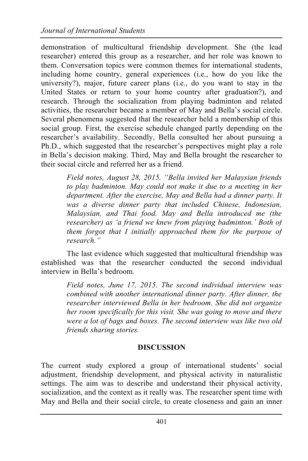demonstration of multicultural friendship development. She (the lead researcher) entered this group as a researcher, and her role was known to them. Conversation topics were common themes for international students, including home country, general experiences (i.e., how do you like the university?), major, future career plans (i.e., do you want to stay in the United States or return to your home country after graduation?), and research. Through the socialization from playing badminton and related activities, the researcher became a member of May and Bella's social circle. Several phenomena suggested that the researcher held a membership of this social group. First, the exercise schedule changed partly depending on the researcher's availability. Secondly, Bella consulted her about pursuing a Ph.D., which suggested that the researcher's perspectives might play a role in Bella's decision making. Third, May and Bella brought the researcher to their social circle and referred her as a friend.

> *Field notes, August 28, 2015. "Bella invited her Malaysian friends to play badminton. May could not make it due to a meeting in her department. After the exercise, May and Bella had a dinner party. It was a diverse dinner party that included Chinese, Indonesian, Malaysian, and Thai food. May and Bella introduced me (the researcher) as 'a friend we knew from playing badminton.' Both of them forgot that I initially approached them for the purpose of research."*

The last evidence which suggested that multicultural friendship was established was that the researcher conducted the second individual interview in Bella's bedroom.

*Field notes, June 17, 2015. The second individual interview was combined with another international dinner party. After dinner, the researcher interviewed Bella in her bedroom. She did not organize her room specifically for this visit. She was going to move and there were a lot of bags and boxes. The second interview was like two old friends sharing stories.* 

### **DISCUSSION**

The current study explored a group of international students' social adjustment, friendship development, and physical activity in naturalistic settings. The aim was to describe and understand their physical activity, socialization, and the context as it really was. The researcher spent time with May and Bella and their social circle, to create closeness and gain an inner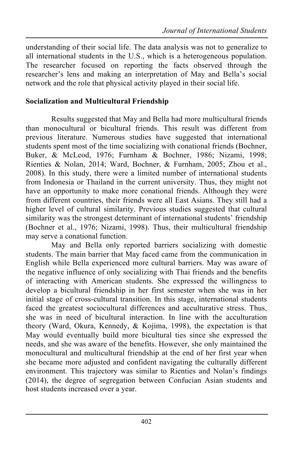understanding of their social life. The data analysis was not to generalize to all international students in the U.S., which is a heterogeneous population. The researcher focused on reporting the facts observed through the researcher's lens and making an interpretation of May and Bella's social network and the role that physical activity played in their social life.

#### **Socialization and Multicultural Friendship**

Results suggested that May and Bella had more multicultural friends than monocultural or bicultural friends. This result was different from previous literature. Numerous studies have suggested that international students spent most of the time socializing with conational friends (Bochner, Buker, & McLeod, 1976; Furnham & Bochner, 1986; Nizami, 1998; Rienties & Nolan, 2014; Ward, Bochner, & Furnham, 2005; Zhou et al., 2008). In this study, there were a limited number of international students from Indonesia or Thailand in the current university. Thus, they might not have an opportunity to make more conational friends. Although they were from different countries, their friends were all East Asians. They still had a higher level of cultural similarity. Previous studies suggested that cultural similarity was the strongest determinant of international students' friendship (Bochner et al., 1976; Nizami, 1998). Thus, their multicultural friendship may serve a conational function.

May and Bella only reported barriers socializing with domestic students. The main barrier that May faced came from the communication in English while Bella experienced more cultural barriers. May was aware of the negative influence of only socializing with Thai friends and the benefits of interacting with American students. She expressed the willingness to develop a bicultural friendship in her first semester when she was in her initial stage of cross-cultural transition. In this stage, international students faced the greatest sociocultural differences and acculturative stress. Thus, she was in need of bicultural interaction. In line with the acculturation theory (Ward, Okura, Kennedy, & Kojima, 1998), the expectation is that May would eventually build more bicultural ties since she expressed the needs, and she was aware of the benefits. However, she only maintained the monocultural and multicultural friendship at the end of her first year when she became more adjusted and confident navigating the culturally different environment. This trajectory was similar to Rienties and Nolan's findings (2014), the degree of segregation between Confucian Asian students and host students increased over a year.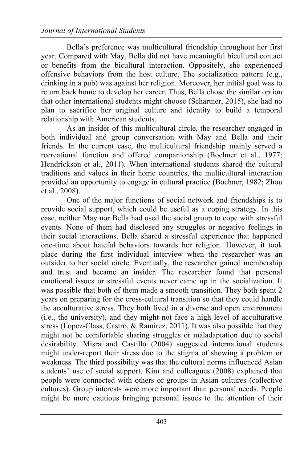Bella's preference was multicultural friendship throughout her first year. Compared with May, Bella did not have meaningful bicultural contact or benefits from the bicultural interaction. Oppositely, she experienced offensive behaviors from the host culture. The socialization pattern (e.g., drinking in a pub) was against her religion. Moreover, her initial goal was to return back home to develop her career. Thus, Bella chose the similar option that other international students might choose (Schartner, 2015), she had no plan to sacrifice her original culture and identity to build a temporal relationship with American students.

As an insider of this multicultural circle, the researcher engaged in both individual and group conversation with May and Bella and their friends. In the current case, the multicultural friendship mainly served a recreational function and offered companionship (Bochner et al., 1977; Hendrickson et al., 2011). When international students shared the cultural traditions and values in their home countries, the multicultural interaction provided an opportunity to engage in cultural practice (Bochner, 1982; Zhou et al., 2008).

One of the major functions of social network and friendships is to provide social support, which could be useful as a coping strategy. In this case, neither May nor Bella had used the social group to cope with stressful events. None of them had disclosed any struggles or negative feelings in their social interactions. Bella shared a stressful experience that happened one-time about hateful behaviors towards her religion. However, it took place during the first individual interview when the researcher was an outsider to her social circle. Eventually, the researcher gained membership and trust and became an insider. The researcher found that personal emotional issues or stressful events never came up in the socialization. It was possible that both of them made a smooth transition. They both spent 2 years on preparing for the cross-cultural transition so that they could handle the acculturative stress. They both lived in a diverse and open environment (i.e., the university), and they might not face a high level of acculturative stress (Lopez-Class, Castro, & Ramirez, 2011). It was also possible that they might not be comfortable sharing struggles or maladaptation due to social desirability. Misra and Castillo (2004) suggested international students might under-report their stress due to the stigma of showing a problem or weakness. The third possibility was that the cultural norms influenced Asian students' use of social support. Kim and colleagues (2008) explained that people were connected with others or groups in Asian cultures (collective cultures). Group interests were more important than personal needs. People might be more cautious bringing personal issues to the attention of their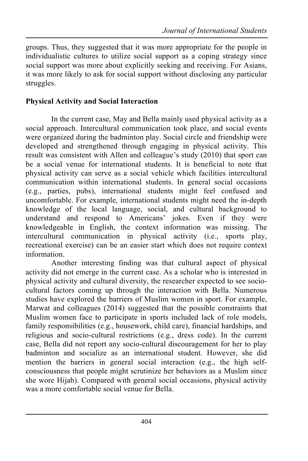groups. Thus, they suggested that it was more appropriate for the people in individualistic cultures to utilize social support as a coping strategy since social support was more about explicitly seeking and receiving. For Asians, it was more likely to ask for social support without disclosing any particular struggles.

#### **Physical Activity and Social Interaction**

In the current case, May and Bella mainly used physical activity as a social approach. Intercultural communication took place, and social events were organized during the badminton play. Social circle and friendship were developed and strengthened through engaging in physical activity. This result was consistent with Allen and colleague's study (2010) that sport can be a social venue for international students. It is beneficial to note that physical activity can serve as a social vehicle which facilities intercultural communication within international students. In general social occasions (e.g., parties, pubs), international students might feel confused and uncomfortable. For example, international students might need the in-depth knowledge of the local language, social, and cultural background to understand and respond to Americans' jokes. Even if they were knowledgeable in English, the context information was missing. The intercultural communication in physical activity (i.e., sports play, recreational exercise) can be an easier start which does not require context information.

Another interesting finding was that cultural aspect of physical activity did not emerge in the current case. As a scholar who is interested in physical activity and cultural diversity, the researcher expected to see sociocultural factors coming up through the interaction with Bella. Numerous studies have explored the barriers of Muslim women in sport. For example, Marwat and colleagues (2014) suggested that the possible constraints that Muslim women face to participate in sports included lack of role models, family responsibilities (e.g., housework, child care), financial hardships, and religious and socio-cultural restrictions (e.g., dress code). In the current case, Bella did not report any socio-cultural discouragement for her to play badminton and socialize as an international student. However, she did mention the barriers in general social interaction (e.g., the high selfconsciousness that people might scrutinize her behaviors as a Muslim since she wore Hijab). Compared with general social occasions, physical activity was a more comfortable social venue for Bella.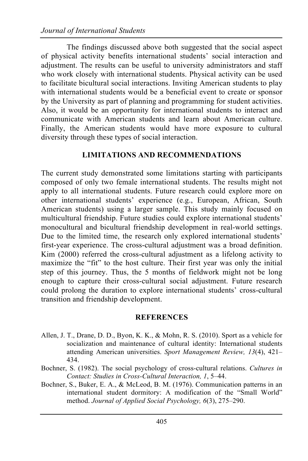The findings discussed above both suggested that the social aspect of physical activity benefits international students' social interaction and adjustment. The results can be useful to university administrators and staff who work closely with international students. Physical activity can be used to facilitate bicultural social interactions. Inviting American students to play with international students would be a beneficial event to create or sponsor by the University as part of planning and programming for student activities. Also, it would be an opportunity for international students to interact and communicate with American students and learn about American culture. Finally, the American students would have more exposure to cultural diversity through these types of social interaction.

#### **LIMITATIONS AND RECOMMENDATIONS**

The current study demonstrated some limitations starting with participants composed of only two female international students. The results might not apply to all international students. Future research could explore more on other international students' experience (e.g., European, African, South American students) using a larger sample. This study mainly focused on multicultural friendship. Future studies could explore international students' monocultural and bicultural friendship development in real-world settings. Due to the limited time, the research only explored international students' first-year experience. The cross-cultural adjustment was a broad definition. Kim (2000) referred the cross-cultural adjustment as a lifelong activity to maximize the "fit" to the host culture. Their first year was only the initial step of this journey. Thus, the 5 months of fieldwork might not be long enough to capture their cross-cultural social adjustment. Future research could prolong the duration to explore international students' cross-cultural transition and friendship development.

#### **REFERENCES**

- Allen, J. T., Drane, D. D., Byon, K. K., & Mohn, R. S. (2010). Sport as a vehicle for socialization and maintenance of cultural identity: International students attending American universities. *Sport Management Review, 13*(4), 421– 434.
- Bochner, S. (1982). The social psychology of cross-cultural relations. *Cultures in Contact: Studies in Cross-Cultural Interaction, 1*, 5–44.
- Bochner, S., Buker, E. A., & McLeod, B. M. (1976). Communication patterns in an international student dormitory: A modification of the "Small World" method. *Journal of Applied Social Psychology, 6*(3), 275–290.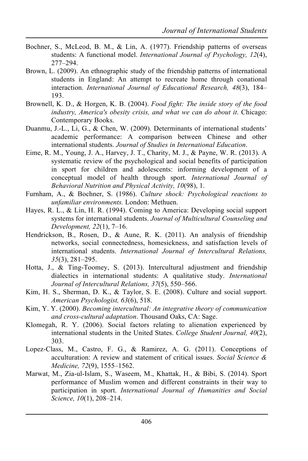- Bochner, S., McLeod, B. M., & Lin, A. (1977). Friendship patterns of overseas students: A functional model. *International Journal of Psychology, 12*(4), 277–294.
- Brown, L. (2009). An ethnographic study of the friendship patterns of international students in England: An attempt to recreate home through conational interaction. *International Journal of Educational Research, 48*(3), 184– 193.
- Brownell, K. D., & Horgen, K. B. (2004). *Food fight: The inside story of the food industry, America's obesity crisis, and what we can do about it*. Chicago: Contemporary Books.
- Duanmu, J.-L., Li, G., & Chen, W. (2009). Determinants of international students' academic performance: A comparison between Chinese and other international students. *Journal of Studies in International Education*.
- Eime, R. M., Young, J. A., Harvey, J. T., Charity, M. J., & Payne, W. R. (2013). A systematic review of the psychological and social benefits of participation in sport for children and adolescents: informing development of a conceptual model of health through sport. *International Journal of Behavioral Nutrition and Physical Activity, 10*(98), 1.
- Furnham, A., & Bochner, S. (1986). *Culture shock: Psychological reactions to unfamiliar environments.* London: Methuen.
- Hayes, R. L., & Lin, H. R. (1994). Coming to America: Developing social support systems for international students. *Journal of Multicultural Counseling and Development, 22*(1), 7–16.
- Hendrickson, B., Rosen, D., & Aune, R. K. (2011). An analysis of friendship networks, social connectedness, homesickness, and satisfaction levels of international students. *International Journal of Intercultural Relations, 35*(3), 281–295.
- Hotta, J., & Ting-Toomey, S. (2013). Intercultural adjustment and friendship dialectics in international students: A qualitative study. *International Journal of Intercultural Relations, 37*(5), 550–566.
- Kim, H. S., Sherman, D. K., & Taylor, S. E. (2008). Culture and social support. *American Psychologist, 63*(6), 518.
- Kim, Y. Y. (2000). *Becoming intercultural: An integrative theory of communication and cross-cultural adaptation*. Thousand Oaks, CA: Sage.
- Klomegah, R. Y. (2006). Social factors relating to alienation experienced by international students in the United States. *College Student Journal, 40*(2), 303.
- Lopez-Class, M., Castro, F. G., & Ramirez, A. G. (2011). Conceptions of acculturation: A review and statement of critical issues. *Social Science & Medicine, 72*(9), 1555–1562.
- Marwat, M., Zia-ul-Islam, S., Waseem, M., Khattak, H., & Bibi, S. (2014). Sport performance of Muslim women and different constraints in their way to participation in sport. *International Journal of Humanities and Social Science, 10*(1), 208–214.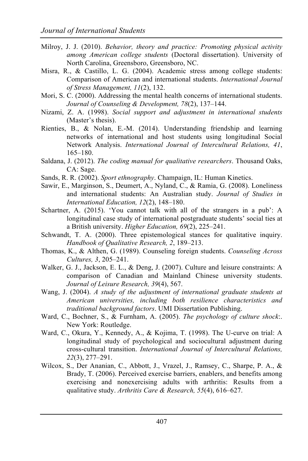- Milroy, J. J. (2010). *Behavior, theory and practice: Promoting physical activity among American college students* (Doctoral dissertation). University of North Carolina, Greensboro, Greensboro, NC.
- Misra, R., & Castillo, L. G. (2004). Academic stress among college students: Comparison of American and international students. *International Journal of Stress Management, 11*(2), 132.
- Mori, S. C. (2000). Addressing the mental health concerns of international students. *Journal of Counseling & Development, 78*(2), 137–144.
- Nizami, Z. A. (1998). *Social support and adjustment in international students* (Master's thesis).
- Rienties, B., & Nolan, E.-M. (2014). Understanding friendship and learning networks of international and host students using longitudinal Social Network Analysis. *International Journal of Intercultural Relations, 41*, 165–180.
- Saldana, J. (2012). *The coding manual for qualitative researchers*. Thousand Oaks, CA: Sage.
- Sands, R. R. (2002). *Sport ethnography*. Champaign, IL: Human Kinetics.
- Sawir, E., Marginson, S., Deumert, A., Nyland, C., & Ramia, G. (2008). Loneliness and international students: An Australian study. *Journal of Studies in International Education, 12*(2), 148–180.
- Schartner, A. (2015). 'You cannot talk with all of the strangers in a pub': A longitudinal case study of international postgraduate students' social ties at a British university. *Higher Education, 69*(2), 225–241.
- Schwandt, T. A. (2000). Three epistemological stances for qualitative inquiry. *Handbook of Qualitative Research, 2*, 189–213.
- Thomas, K., & Althen, G. (1989). Counseling foreign students. *Counseling Across Cultures, 3*, 205–241.
- Walker, G. J., Jackson, E. L., & Deng, J. (2007). Culture and leisure constraints: A comparison of Canadian and Mainland Chinese university students. *Journal of Leisure Research, 39*(4), 567.
- Wang, J. (2004). *A study of the adjustment of international graduate students at American universities, including both resilience characteristics and traditional background factors*. UMI Dissertation Publishing.
- Ward, C., Bochner, S., & Furnham, A. (2005). *The psychology of culture shock*:. New York: Routledge.
- Ward, C., Okura, Y., Kennedy, A., & Kojima, T. (1998). The U-curve on trial: A longitudinal study of psychological and sociocultural adjustment during cross-cultural transition. *International Journal of Intercultural Relations, 22*(3), 277–291.
- Wilcox, S., Der Ananian, C., Abbott, J., Vrazel, J., Ramsey, C., Sharpe, P. A., & Brady, T. (2006). Perceived exercise barriers, enablers, and benefits among exercising and nonexercising adults with arthritis: Results from a qualitative study. *Arthritis Care & Research, 55*(4), 616–627.